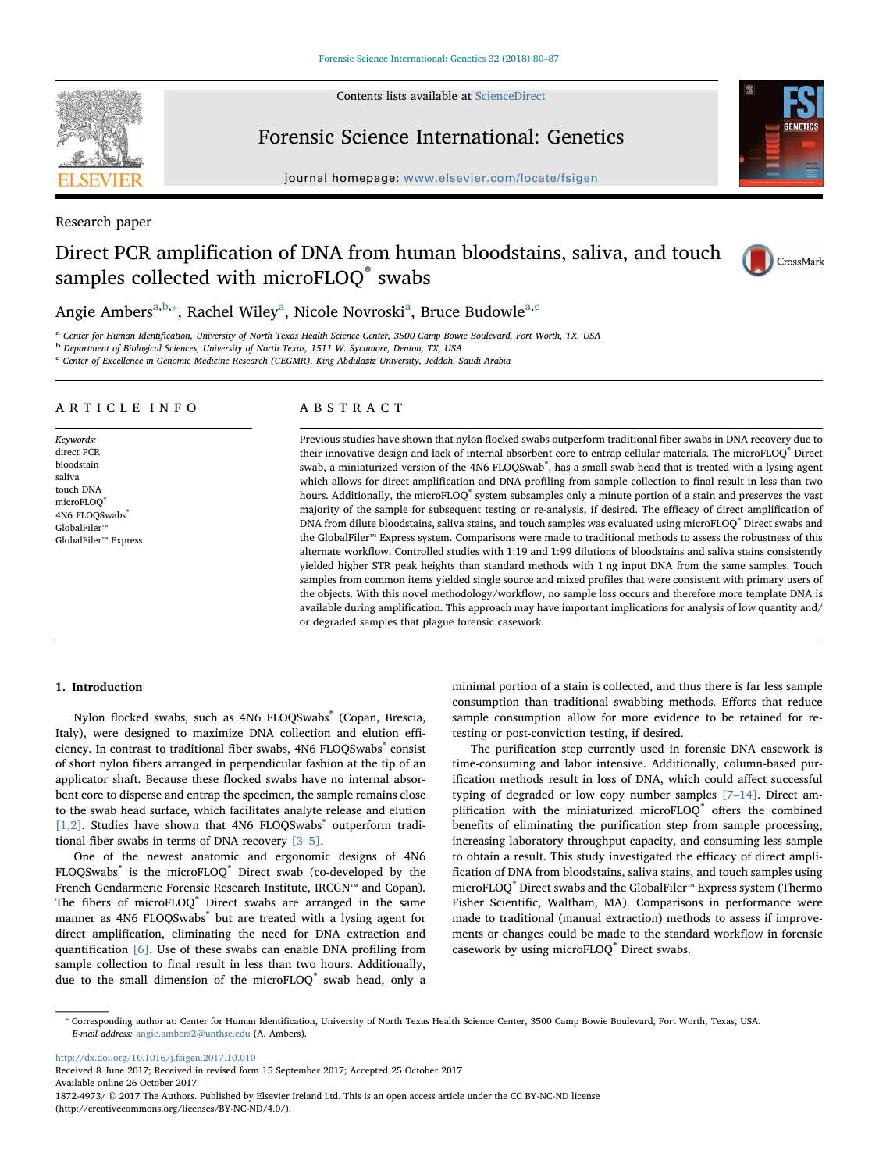Contents lists available at [ScienceDirect](http://www.sciencedirect.com/science/journal/18724973)



# Forensic Science International: Genetics

journal homepage: [www.elsevier.com/locate/fsigen](https://www.elsevier.com/locate/fsigen)

Research paper

# Direct PCR amplification of DNA from human bloodstains, saliva, and touch samples collected with microFLOQ® swabs





Angie Ambers<sup>[a,](#page-0-0)[b](#page-0-1),</sup>\*, R[a](#page-0-0)chel Wiley<sup>a</sup>, Nicole Novroski<sup>a</sup>, Bruce Budowle<sup>a[,c](#page-0-3)</sup>

<span id="page-0-0"></span><sup>a</sup> Center for Human Identification, University of North Texas Health Science Center, 3500 Camp Bowie Boulevard, Fort Worth, TX, USA b Department of Biological Sciences, University of North Texas, 1511 W. Sycamore, Denton,

<span id="page-0-1"></span>

<span id="page-0-3"></span> $\degree$  Center of Excellence in Genomic Medicine Research (CEGMR), King Abdulaziz University, Jeddah, Saudi Arabia

## ARTICLE INFO

Keywords: direct PCR bloodstain saliva touch DNA microFLOQ 4N6 FLOQSwabs® GlobalFiler™ GlobalFiler™ Express

# ABSTRACT

Previous studies have shown that nylon flocked swabs outperform traditional fiber swabs in DNA recovery due to their innovative design and lack of internal absorbent core to entrap cellular materials. The microFLOO® Direct swab, a miniaturized version of the 4N6 FLOQSwab®, has a small swab head that is treated with a lysing agent which allows for direct amplification and DNA profiling from sample collection to final result in less than two hours. Additionally, the microFLOQ® system subsamples only a minute portion of a stain and preserves the vast majority of the sample for subsequent testing or re-analysis, if desired. The efficacy of direct amplification of DNA from dilute bloodstains, saliva stains, and touch samples was evaluated using microFLOQ® Direct swabs and the GlobalFiler™ Express system. Comparisons were made to traditional methods to assess the robustness of this alternate workflow. Controlled studies with 1:19 and 1:99 dilutions of bloodstains and saliva stains consistently yielded higher STR peak heights than standard methods with 1 ng input DNA from the same samples. Touch samples from common items yielded single source and mixed profiles that were consistent with primary users of the objects. With this novel methodology/workflow, no sample loss occurs and therefore more template DNA is available during amplification. This approach may have important implications for analysis of low quantity and/ or degraded samples that plague forensic casework.

#### 1. Introduction

Nylon flocked swabs, such as 4N6 FLOQSwabs<sup>®</sup> (Copan, Brescia, Italy), were designed to maximize DNA collection and elution efficiency. In contrast to traditional fiber swabs, 4N6 FLOQSwabs® consist of short nylon fibers arranged in perpendicular fashion at the tip of an applicator shaft. Because these flocked swabs have no internal absorbent core to disperse and entrap the specimen, the sample remains close to the swab head surface, which facilitates analyte release and elution [\[1,2\].](#page-6-0) Studies have shown that 4N6 FLOQSwabs<sup>®</sup> outperform traditional fiber swabs in terms of DNA recovery [3–[5\]](#page-6-1).

One of the newest anatomic and ergonomic designs of 4N6 FLOQSwabs® is the microFLOQ® Direct swab (co-developed by the French Gendarmerie Forensic Research Institute, IRCGN™ and Copan). The fibers of microFLOO<sup>®</sup> Direct swabs are arranged in the same manner as 4N6 FLOOSwabs<sup>®</sup> but are treated with a lysing agent for direct amplification, eliminating the need for DNA extraction and quantification [\[6\]](#page-6-2). Use of these swabs can enable DNA profiling from sample collection to final result in less than two hours. Additionally, due to the small dimension of the microFLOQ® swab head, only a

minimal portion of a stain is collected, and thus there is far less sample consumption than traditional swabbing methods. Efforts that reduce sample consumption allow for more evidence to be retained for retesting or post-conviction testing, if desired.

The purification step currently used in forensic DNA casework is time-consuming and labor intensive. Additionally, column-based purification methods result in loss of DNA, which could affect successful typing of degraded or low copy number samples [7–[14\].](#page-6-3) Direct amplification with the miniaturized microFLOQ® offers the combined benefits of eliminating the purification step from sample processing, increasing laboratory throughput capacity, and consuming less sample to obtain a result. This study investigated the efficacy of direct amplification of DNA from bloodstains, saliva stains, and touch samples using microFLOQ® Direct swabs and the GlobalFiler™ Express system (Thermo Fisher Scientific, Waltham, MA). Comparisons in performance were made to traditional (manual extraction) methods to assess if improvements or changes could be made to the standard workflow in forensic casework by using microFLOQ® Direct swabs.

<http://dx.doi.org/10.1016/j.fsigen.2017.10.010>

Received 8 June 2017; Received in revised form 15 September 2017; Accepted 25 October 2017 Available online 26 October 2017 1872-4973/ © 2017 The Authors. Published by Elsevier Ireland Ltd. This is an open access article under the CC BY-NC-ND license

(http://creativecommons.org/licenses/BY-NC-ND/4.0/).

<span id="page-0-2"></span><sup>⁎</sup> Corresponding author at: Center for Human Identification, University of North Texas Health Science Center, 3500 Camp Bowie Boulevard, Fort Worth, Texas, USA. E-mail address: [angie.ambers2@unthsc.edu](mailto:angie.ambers2@unthsc.edu) (A. Ambers).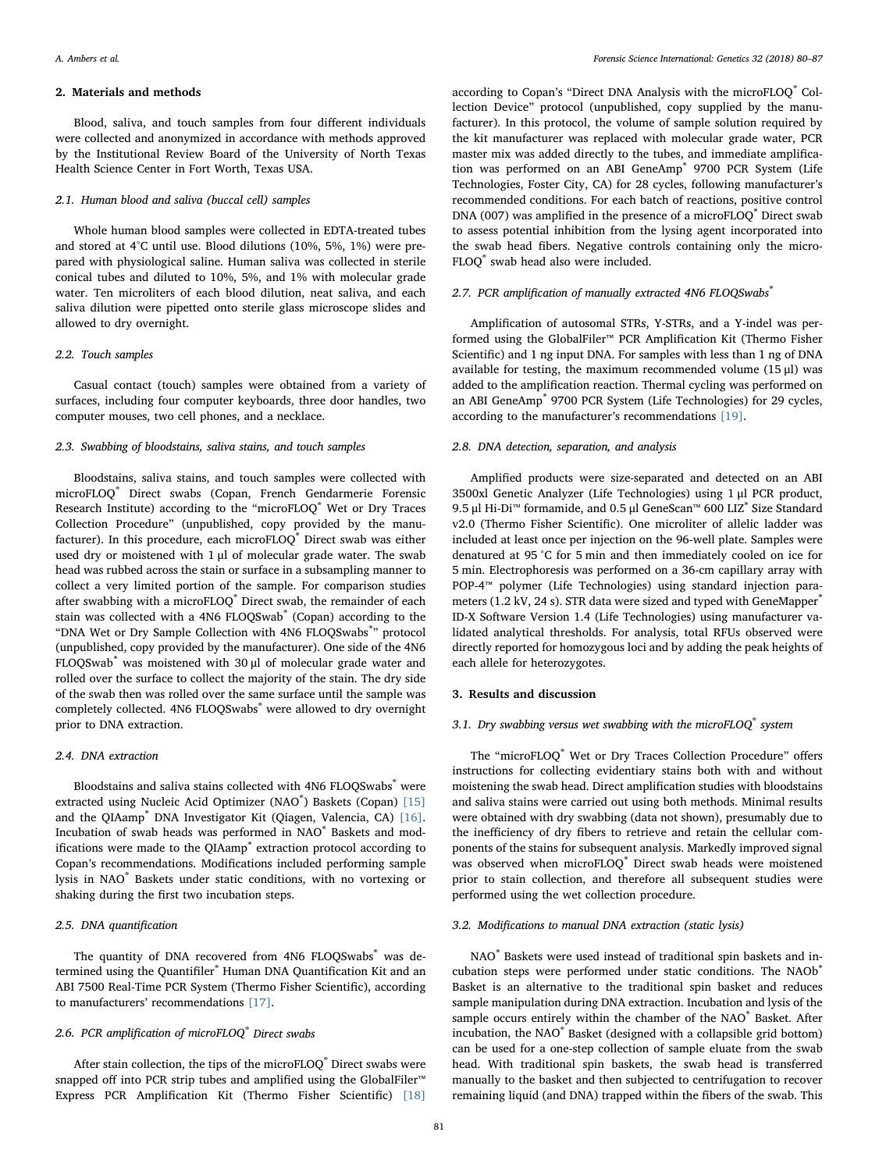#### 2. Materials and methods

Blood, saliva, and touch samples from four different individuals were collected and anonymized in accordance with methods approved by the Institutional Review Board of the University of North Texas Health Science Center in Fort Worth, Texas USA.

#### 2.1. Human blood and saliva (buccal cell) samples

Whole human blood samples were collected in EDTA-treated tubes and stored at 4°C until use. Blood dilutions (10%, 5%, 1%) were prepared with physiological saline. Human saliva was collected in sterile conical tubes and diluted to 10%, 5%, and 1% with molecular grade water. Ten microliters of each blood dilution, neat saliva, and each saliva dilution were pipetted onto sterile glass microscope slides and allowed to dry overnight.

#### 2.2. Touch samples

Casual contact (touch) samples were obtained from a variety of surfaces, including four computer keyboards, three door handles, two computer mouses, two cell phones, and a necklace.

#### 2.3. Swabbing of bloodstains, saliva stains, and touch samples

Bloodstains, saliva stains, and touch samples were collected with microFLOQ® Direct swabs (Copan, French Gendarmerie Forensic Research Institute) according to the "microFLOQ<sup>®</sup> Wet or Dry Traces Collection Procedure" (unpublished, copy provided by the manufacturer). In this procedure, each microFLOQ® Direct swab was either used dry or moistened with 1 μl of molecular grade water. The swab head was rubbed across the stain or surface in a subsampling manner to collect a very limited portion of the sample. For comparison studies after swabbing with a microFLOQ® Direct swab, the remainder of each stain was collected with a 4N6 FLOQSwab® (Copan) according to the "DNA Wet or Dry Sample Collection with 4N6 FLOQSwabs<sup>®</sup>" protocol (unpublished, copy provided by the manufacturer). One side of the 4N6 FLOQSwab® was moistened with 30 μl of molecular grade water and rolled over the surface to collect the majority of the stain. The dry side of the swab then was rolled over the same surface until the sample was completely collected. 4N6 FLOQSwabs<sup>®</sup> were allowed to dry overnight prior to DNA extraction.

#### 2.4. DNA extraction

Bloodstains and saliva stains collected with 4N6 FLOQSwabs® were extracted using Nucleic Acid Optimizer (NAO®) Baskets (Copan) [\[15\]](#page-7-0) and the QIAamp® DNA Investigator Kit (Qiagen, Valencia, CA) [\[16\]](#page-7-1). Incubation of swab heads was performed in NAO® Baskets and modifications were made to the QIAamp® extraction protocol according to Copan's recommendations. Modifications included performing sample lysis in NAO® Baskets under static conditions, with no vortexing or shaking during the first two incubation steps.

## 2.5. DNA quantification

The quantity of DNA recovered from 4N6 FLOQSwabs<sup>®</sup> was determined using the Quantifiler® Human DNA Quantification Kit and an ABI 7500 Real-Time PCR System (Thermo Fisher Scientific), according to manufacturers' recommendations [\[17\].](#page-7-2)

# 2.6. PCR amplification of microFLOQ® Direct swabs

After stain collection, the tips of the microFLOQ® Direct swabs were snapped off into PCR strip tubes and amplified using the GlobalFiler™ Express PCR Amplification Kit (Thermo Fisher Scientific) [\[18\]](#page-7-3)

according to Copan's "Direct DNA Analysis with the microFLOQ<sup>®</sup> Collection Device" protocol (unpublished, copy supplied by the manufacturer). In this protocol, the volume of sample solution required by the kit manufacturer was replaced with molecular grade water, PCR master mix was added directly to the tubes, and immediate amplification was performed on an ABI GeneAmp® 9700 PCR System (Life Technologies, Foster City, CA) for 28 cycles, following manufacturer's recommended conditions. For each batch of reactions, positive control DNA (007) was amplified in the presence of a microFLOQ® Direct swab to assess potential inhibition from the lysing agent incorporated into the swab head fibers. Negative controls containing only the micro-FLOO® swab head also were included.

#### 2.7. PCR amplification of manually extracted 4N6 FLOQSwabs®

Amplification of autosomal STRs, Y-STRs, and a Y-indel was performed using the GlobalFiler™ PCR Amplification Kit (Thermo Fisher Scientific) and 1 ng input DNA. For samples with less than 1 ng of DNA available for testing, the maximum recommended volume (15 μl) was added to the amplification reaction. Thermal cycling was performed on an ABI GeneAmp<sup>®</sup> 9700 PCR System (Life Technologies) for 29 cycles, according to the manufacturer's recommendations [\[19\].](#page-7-4)

#### 2.8. DNA detection, separation, and analysis

Amplified products were size-separated and detected on an ABI 3500xl Genetic Analyzer (Life Technologies) using 1 μl PCR product, 9.5 μl Hi-Di<sup>™</sup> formamide, and 0.5 μl GeneScan<sup>™</sup> 600 LIZ<sup>®</sup> Size Standard v2.0 (Thermo Fisher Scientific). One microliter of allelic ladder was included at least once per injection on the 96-well plate. Samples were denatured at 95 °C for 5 min and then immediately cooled on ice for 5 min. Electrophoresis was performed on a 36-cm capillary array with POP-4™ polymer (Life Technologies) using standard injection parameters (1.2 kV, 24 s). STR data were sized and typed with GeneMapper $\degree$ ID-X Software Version 1.4 (Life Technologies) using manufacturer validated analytical thresholds. For analysis, total RFUs observed were directly reported for homozygous loci and by adding the peak heights of each allele for heterozygotes.

#### 3. Results and discussion

#### 3.1. Dry swabbing versus wet swabbing with the microFLOQ $^{\circ}$  system

The "microFLOQ<sup>®</sup> Wet or Dry Traces Collection Procedure" offers instructions for collecting evidentiary stains both with and without moistening the swab head. Direct amplification studies with bloodstains and saliva stains were carried out using both methods. Minimal results were obtained with dry swabbing (data not shown), presumably due to the inefficiency of dry fibers to retrieve and retain the cellular components of the stains for subsequent analysis. Markedly improved signal was observed when microFLOQ® Direct swab heads were moistened prior to stain collection, and therefore all subsequent studies were performed using the wet collection procedure.

#### 3.2. Modifications to manual DNA extraction (static lysis)

NAO® Baskets were used instead of traditional spin baskets and incubation steps were performed under static conditions. The NAOb® Basket is an alternative to the traditional spin basket and reduces sample manipulation during DNA extraction. Incubation and lysis of the sample occurs entirely within the chamber of the NAO® Basket. After incubation, the NAO<sup>®</sup> Basket (designed with a collapsible grid bottom) can be used for a one-step collection of sample eluate from the swab head. With traditional spin baskets, the swab head is transferred manually to the basket and then subjected to centrifugation to recover remaining liquid (and DNA) trapped within the fibers of the swab. This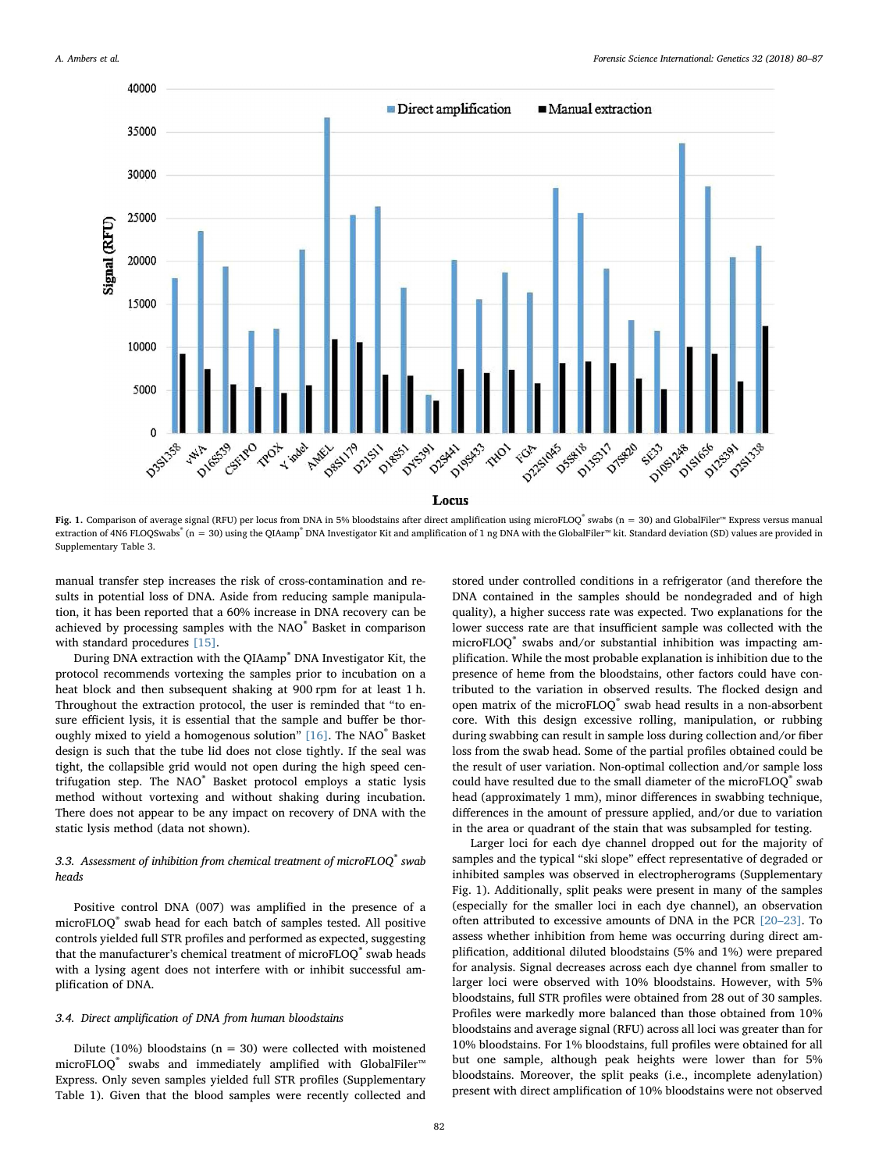<span id="page-2-0"></span>

Fig. 1. Comparison of average signal (RFU) per locus from DNA in 5% bloodstains after direct amplification using microFLOO® swabs (n = 30) and GlobalFiler™ Express versus manual extraction of 4N6 FLOQSwabs<sup>®</sup> (n = 30) using the QIAamp® DNA Investigator Kit and amplification of 1 ng DNA with the GlobalFiler™ kit. Standard deviation (SD) values are provided in Supplementary Table 3.

manual transfer step increases the risk of cross-contamination and results in potential loss of DNA. Aside from reducing sample manipulation, it has been reported that a 60% increase in DNA recovery can be achieved by processing samples with the NAO® Basket in comparison with standard procedures [\[15\].](#page-7-0)

During DNA extraction with the QIAamp® DNA Investigator Kit, the protocol recommends vortexing the samples prior to incubation on a heat block and then subsequent shaking at 900 rpm for at least 1 h. Throughout the extraction protocol, the user is reminded that "to ensure efficient lysis, it is essential that the sample and buffer be thor-oughly mixed to yield a homogenous solution" [\[16\].](#page-7-1) The NAO® Basket design is such that the tube lid does not close tightly. If the seal was tight, the collapsible grid would not open during the high speed centrifugation step. The NAO® Basket protocol employs a static lysis method without vortexing and without shaking during incubation. There does not appear to be any impact on recovery of DNA with the static lysis method (data not shown).

# 3.3. Assessment of inhibition from chemical treatment of microFLOQ® swab heads

Positive control DNA (007) was amplified in the presence of a microFLOQ® swab head for each batch of samples tested. All positive controls yielded full STR profiles and performed as expected, suggesting that the manufacturer's chemical treatment of microFLOQ® swab heads with a lysing agent does not interfere with or inhibit successful amplification of DNA.

#### 3.4. Direct amplification of DNA from human bloodstains

Dilute (10%) bloodstains ( $n = 30$ ) were collected with moistened microFLOQ® swabs and immediately amplified with GlobalFiler™ Express. Only seven samples yielded full STR profiles (Supplementary Table 1). Given that the blood samples were recently collected and stored under controlled conditions in a refrigerator (and therefore the DNA contained in the samples should be nondegraded and of high quality), a higher success rate was expected. Two explanations for the lower success rate are that insufficient sample was collected with the microFLOQ® swabs and/or substantial inhibition was impacting amplification. While the most probable explanation is inhibition due to the presence of heme from the bloodstains, other factors could have contributed to the variation in observed results. The flocked design and open matrix of the microFLOQ® swab head results in a non-absorbent core. With this design excessive rolling, manipulation, or rubbing during swabbing can result in sample loss during collection and/or fiber loss from the swab head. Some of the partial profiles obtained could be the result of user variation. Non-optimal collection and/or sample loss could have resulted due to the small diameter of the microFLOQ® swab head (approximately 1 mm), minor differences in swabbing technique, differences in the amount of pressure applied, and/or due to variation in the area or quadrant of the stain that was subsampled for testing.

Larger loci for each dye channel dropped out for the majority of samples and the typical "ski slope" effect representative of degraded or inhibited samples was observed in electropherograms (Supplementary Fig. 1). Additionally, split peaks were present in many of the samples (especially for the smaller loci in each dye channel), an observation often attributed to excessive amounts of DNA in the PCR [\[20](#page-7-5)–23]. To assess whether inhibition from heme was occurring during direct amplification, additional diluted bloodstains (5% and 1%) were prepared for analysis. Signal decreases across each dye channel from smaller to larger loci were observed with 10% bloodstains. However, with 5% bloodstains, full STR profiles were obtained from 28 out of 30 samples. Profiles were markedly more balanced than those obtained from 10% bloodstains and average signal (RFU) across all loci was greater than for 10% bloodstains. For 1% bloodstains, full profiles were obtained for all but one sample, although peak heights were lower than for 5% bloodstains. Moreover, the split peaks (i.e., incomplete adenylation) present with direct amplification of 10% bloodstains were not observed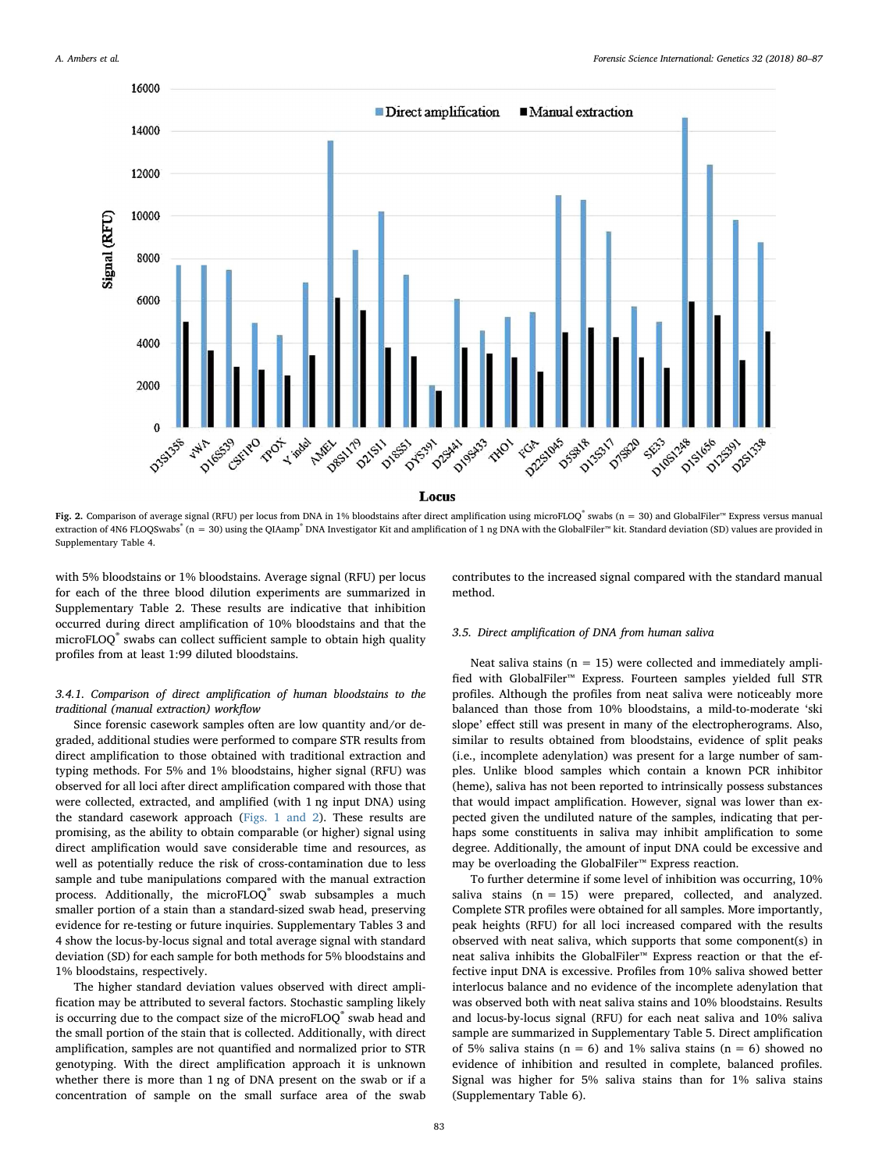

Fig. 2. Comparison of average signal (RFU) per locus from DNA in 1% bloodstains after direct amplification using microFLOQ® swabs (n = 30) and GlobalFiler™ Express versus manual extraction of 4N6 FLOQSwabs<sup>®</sup> (n = 30) using the QIAamp® DNA Investigator Kit and amplification of 1 ng DNA with the GlobalFiler™ kit. Standard deviation (SD) values are provided in Supplementary Table 4.

with 5% bloodstains or 1% bloodstains. Average signal (RFU) per locus for each of the three blood dilution experiments are summarized in Supplementary Table 2. These results are indicative that inhibition occurred during direct amplification of 10% bloodstains and that the microFLOQ® swabs can collect sufficient sample to obtain high quality profiles from at least 1:99 diluted bloodstains.

# 3.4.1. Comparison of direct amplification of human bloodstains to the traditional (manual extraction) workflow

Since forensic casework samples often are low quantity and/or degraded, additional studies were performed to compare STR results from direct amplification to those obtained with traditional extraction and typing methods. For 5% and 1% bloodstains, higher signal (RFU) was observed for all loci after direct amplification compared with those that were collected, extracted, and amplified (with 1 ng input DNA) using the standard casework approach [\(Figs. 1 and 2](#page-2-0)). These results are promising, as the ability to obtain comparable (or higher) signal using direct amplification would save considerable time and resources, as well as potentially reduce the risk of cross-contamination due to less sample and tube manipulations compared with the manual extraction process. Additionally, the microFLOQ® swab subsamples a much smaller portion of a stain than a standard-sized swab head, preserving evidence for re-testing or future inquiries. Supplementary Tables 3 and 4 show the locus-by-locus signal and total average signal with standard deviation (SD) for each sample for both methods for 5% bloodstains and 1% bloodstains, respectively.

The higher standard deviation values observed with direct amplification may be attributed to several factors. Stochastic sampling likely is occurring due to the compact size of the microFLOQ® swab head and the small portion of the stain that is collected. Additionally, with direct amplification, samples are not quantified and normalized prior to STR genotyping. With the direct amplification approach it is unknown whether there is more than 1 ng of DNA present on the swab or if a concentration of sample on the small surface area of the swab contributes to the increased signal compared with the standard manual method.

#### 3.5. Direct amplification of DNA from human saliva

Neat saliva stains ( $n = 15$ ) were collected and immediately amplified with GlobalFiler™ Express. Fourteen samples yielded full STR profiles. Although the profiles from neat saliva were noticeably more balanced than those from 10% bloodstains, a mild-to-moderate 'ski slope' effect still was present in many of the electropherograms. Also, similar to results obtained from bloodstains, evidence of split peaks (i.e., incomplete adenylation) was present for a large number of samples. Unlike blood samples which contain a known PCR inhibitor (heme), saliva has not been reported to intrinsically possess substances that would impact amplification. However, signal was lower than expected given the undiluted nature of the samples, indicating that perhaps some constituents in saliva may inhibit amplification to some degree. Additionally, the amount of input DNA could be excessive and may be overloading the GlobalFiler™ Express reaction.

To further determine if some level of inhibition was occurring, 10% saliva stains  $(n = 15)$  were prepared, collected, and analyzed. Complete STR profiles were obtained for all samples. More importantly, peak heights (RFU) for all loci increased compared with the results observed with neat saliva, which supports that some component(s) in neat saliva inhibits the GlobalFiler™ Express reaction or that the effective input DNA is excessive. Profiles from 10% saliva showed better interlocus balance and no evidence of the incomplete adenylation that was observed both with neat saliva stains and 10% bloodstains. Results and locus-by-locus signal (RFU) for each neat saliva and 10% saliva sample are summarized in Supplementary Table 5. Direct amplification of 5% saliva stains ( $n = 6$ ) and 1% saliva stains ( $n = 6$ ) showed no evidence of inhibition and resulted in complete, balanced profiles. Signal was higher for 5% saliva stains than for 1% saliva stains (Supplementary Table 6).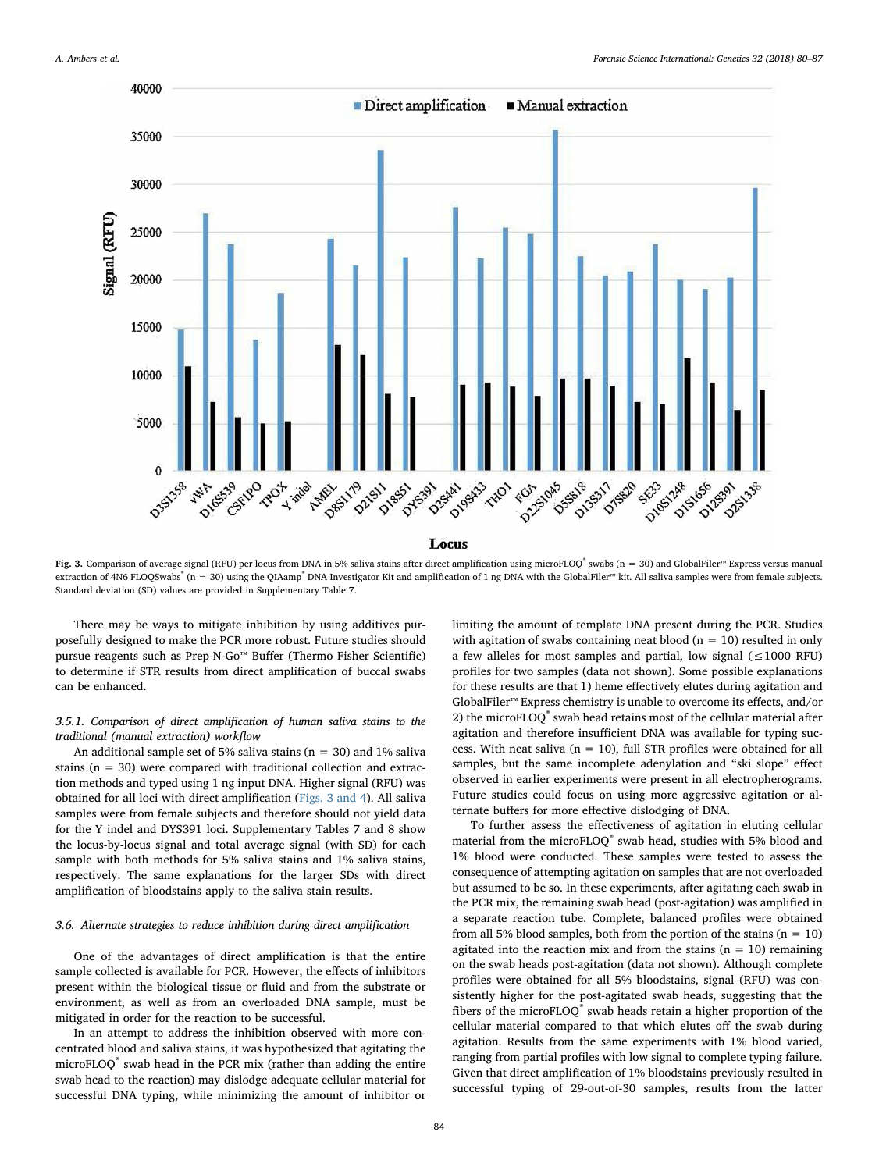<span id="page-4-0"></span>

Fig. 3. Comparison of average signal (RFU) per locus from DNA in 5% saliva stains after direct amplification using microFLOQ® swabs (n = 30) and GlobalFiler™ Express versus manual extraction of 4N6 FLOQSwabs<sup>®</sup> (n = 30) using the QIAamp® DNA Investigator Kit and amplification of 1 ng DNA with the GlobalFiler™ kit. All saliva samples were from female subjects. Standard deviation (SD) values are provided in Supplementary Table 7.

There may be ways to mitigate inhibition by using additives purposefully designed to make the PCR more robust. Future studies should pursue reagents such as Prep-N-Go™ Buffer (Thermo Fisher Scientific) to determine if STR results from direct amplification of buccal swabs can be enhanced.

# 3.5.1. Comparison of direct amplification of human saliva stains to the traditional (manual extraction) workflow

An additional sample set of 5% saliva stains ( $n = 30$ ) and 1% saliva stains  $(n = 30)$  were compared with traditional collection and extraction methods and typed using 1 ng input DNA. Higher signal (RFU) was obtained for all loci with direct amplification ([Figs. 3 and 4](#page-4-0)). All saliva samples were from female subjects and therefore should not yield data for the Y indel and DYS391 loci. Supplementary Tables 7 and 8 show the locus-by-locus signal and total average signal (with SD) for each sample with both methods for 5% saliva stains and 1% saliva stains, respectively. The same explanations for the larger SDs with direct amplification of bloodstains apply to the saliva stain results.

#### 3.6. Alternate strategies to reduce inhibition during direct amplification

One of the advantages of direct amplification is that the entire sample collected is available for PCR. However, the effects of inhibitors present within the biological tissue or fluid and from the substrate or environment, as well as from an overloaded DNA sample, must be mitigated in order for the reaction to be successful.

In an attempt to address the inhibition observed with more concentrated blood and saliva stains, it was hypothesized that agitating the microFLOQ<sup>®</sup> swab head in the PCR mix (rather than adding the entire swab head to the reaction) may dislodge adequate cellular material for successful DNA typing, while minimizing the amount of inhibitor or

limiting the amount of template DNA present during the PCR. Studies with agitation of swabs containing neat blood ( $n = 10$ ) resulted in only a few alleles for most samples and partial, low signal ( $\leq$ 1000 RFU) profiles for two samples (data not shown). Some possible explanations for these results are that 1) heme effectively elutes during agitation and GlobalFiler™ Express chemistry is unable to overcome its effects, and/or 2) the microFLOQ® swab head retains most of the cellular material after agitation and therefore insufficient DNA was available for typing success. With neat saliva ( $n = 10$ ), full STR profiles were obtained for all samples, but the same incomplete adenylation and "ski slope" effect observed in earlier experiments were present in all electropherograms. Future studies could focus on using more aggressive agitation or alternate buffers for more effective dislodging of DNA.

To further assess the effectiveness of agitation in eluting cellular material from the microFLOQ® swab head, studies with 5% blood and 1% blood were conducted. These samples were tested to assess the consequence of attempting agitation on samples that are not overloaded but assumed to be so. In these experiments, after agitating each swab in the PCR mix, the remaining swab head (post-agitation) was amplified in a separate reaction tube. Complete, balanced profiles were obtained from all 5% blood samples, both from the portion of the stains  $(n = 10)$ agitated into the reaction mix and from the stains  $(n = 10)$  remaining on the swab heads post-agitation (data not shown). Although complete profiles were obtained for all 5% bloodstains, signal (RFU) was consistently higher for the post-agitated swab heads, suggesting that the fibers of the microFLOQ® swab heads retain a higher proportion of the cellular material compared to that which elutes off the swab during agitation. Results from the same experiments with 1% blood varied, ranging from partial profiles with low signal to complete typing failure. Given that direct amplification of 1% bloodstains previously resulted in successful typing of 29-out-of-30 samples, results from the latter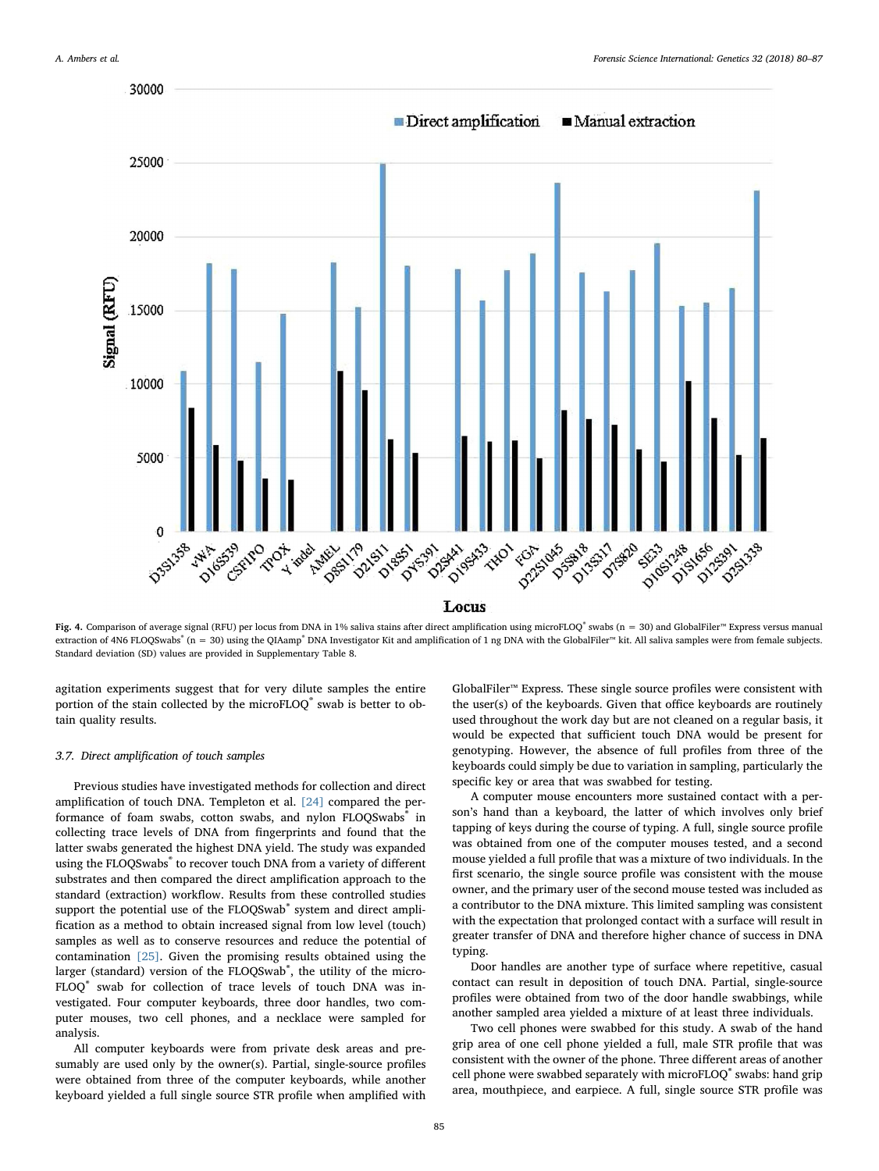

Fig. 4. Comparison of average signal (RFU) per locus from DNA in 1% saliva stains after direct amplification using microFLOQ® swabs (n = 30) and GlobalFiler™ Express versus manual extraction of 4N6 FLOQSwabs® (n = 30) using the QIAamp® DNA Investigator Kit and amplification of 1 ng DNA with the GlobalFiler™ kit. All saliva samples were from female subjects. Standard deviation (SD) values are provided in Supplementary Table 8.

agitation experiments suggest that for very dilute samples the entire portion of the stain collected by the microFLOQ® swab is better to obtain quality results.

#### 3.7. Direct amplification of touch samples

Previous studies have investigated methods for collection and direct amplification of touch DNA. Templeton et al. [\[24\]](#page-7-6) compared the performance of foam swabs, cotton swabs, and nylon FLOQSwabs® in collecting trace levels of DNA from fingerprints and found that the latter swabs generated the highest DNA yield. The study was expanded using the FLOQSwabs<sup>®</sup> to recover touch DNA from a variety of different substrates and then compared the direct amplification approach to the standard (extraction) workflow. Results from these controlled studies support the potential use of the FLOQSwab® system and direct amplification as a method to obtain increased signal from low level (touch) samples as well as to conserve resources and reduce the potential of contamination [\[25\]](#page-7-7). Given the promising results obtained using the larger (standard) version of the FLOQSwab®, the utility of the micro-FLOQ® swab for collection of trace levels of touch DNA was investigated. Four computer keyboards, three door handles, two computer mouses, two cell phones, and a necklace were sampled for analysis.

All computer keyboards were from private desk areas and presumably are used only by the owner(s). Partial, single-source profiles were obtained from three of the computer keyboards, while another keyboard yielded a full single source STR profile when amplified with

GlobalFiler™ Express. These single source profiles were consistent with the user(s) of the keyboards. Given that office keyboards are routinely used throughout the work day but are not cleaned on a regular basis, it would be expected that sufficient touch DNA would be present for genotyping. However, the absence of full profiles from three of the keyboards could simply be due to variation in sampling, particularly the specific key or area that was swabbed for testing.

A computer mouse encounters more sustained contact with a person's hand than a keyboard, the latter of which involves only brief tapping of keys during the course of typing. A full, single source profile was obtained from one of the computer mouses tested, and a second mouse yielded a full profile that was a mixture of two individuals. In the first scenario, the single source profile was consistent with the mouse owner, and the primary user of the second mouse tested was included as a contributor to the DNA mixture. This limited sampling was consistent with the expectation that prolonged contact with a surface will result in greater transfer of DNA and therefore higher chance of success in DNA typing.

Door handles are another type of surface where repetitive, casual contact can result in deposition of touch DNA. Partial, single-source profiles were obtained from two of the door handle swabbings, while another sampled area yielded a mixture of at least three individuals.

Two cell phones were swabbed for this study. A swab of the hand grip area of one cell phone yielded a full, male STR profile that was consistent with the owner of the phone. Three different areas of another cell phone were swabbed separately with microFLOQ® swabs: hand grip area, mouthpiece, and earpiece. A full, single source STR profile was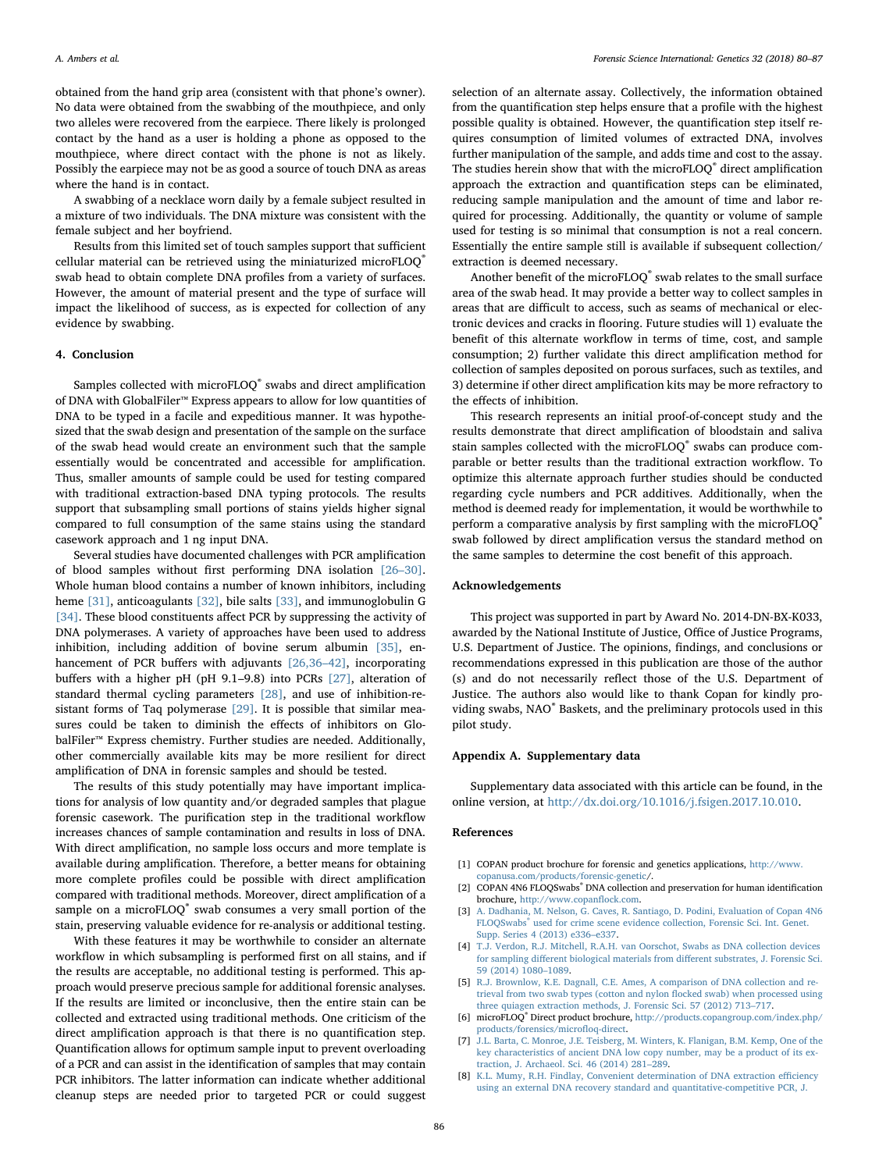obtained from the hand grip area (consistent with that phone's owner). No data were obtained from the swabbing of the mouthpiece, and only two alleles were recovered from the earpiece. There likely is prolonged contact by the hand as a user is holding a phone as opposed to the mouthpiece, where direct contact with the phone is not as likely. Possibly the earpiece may not be as good a source of touch DNA as areas where the hand is in contact.

A swabbing of a necklace worn daily by a female subject resulted in a mixture of two individuals. The DNA mixture was consistent with the female subject and her boyfriend.

Results from this limited set of touch samples support that sufficient cellular material can be retrieved using the miniaturized microFLOO® swab head to obtain complete DNA profiles from a variety of surfaces. However, the amount of material present and the type of surface will impact the likelihood of success, as is expected for collection of any evidence by swabbing.

#### 4. Conclusion

Samples collected with microFLOO® swabs and direct amplification of DNA with GlobalFiler™ Express appears to allow for low quantities of DNA to be typed in a facile and expeditious manner. It was hypothesized that the swab design and presentation of the sample on the surface of the swab head would create an environment such that the sample essentially would be concentrated and accessible for amplification. Thus, smaller amounts of sample could be used for testing compared with traditional extraction-based DNA typing protocols. The results support that subsampling small portions of stains yields higher signal compared to full consumption of the same stains using the standard casework approach and 1 ng input DNA.

Several studies have documented challenges with PCR amplification of blood samples without first performing DNA isolation [\[26](#page-7-8)–30]. Whole human blood contains a number of known inhibitors, including heme [\[31\],](#page-7-9) anticoagulants [\[32\],](#page-7-10) bile salts [\[33\]](#page-7-11), and immunoglobulin G [\[34\]](#page-7-12). These blood constituents affect PCR by suppressing the activity of DNA polymerases. A variety of approaches have been used to address inhibition, including addition of bovine serum albumin [\[35\]](#page-7-13), enhancement of PCR buffers with adjuvants [\[26,36](#page-7-8)–42], incorporating buffers with a higher pH (pH 9.1–9.8) into PCRs [\[27\]](#page-7-14), alteration of standard thermal cycling parameters [\[28\],](#page-7-15) and use of inhibition-resistant forms of Taq polymerase [\[29\]](#page-7-16). It is possible that similar measures could be taken to diminish the effects of inhibitors on GlobalFiler™ Express chemistry. Further studies are needed. Additionally, other commercially available kits may be more resilient for direct amplification of DNA in forensic samples and should be tested.

The results of this study potentially may have important implications for analysis of low quantity and/or degraded samples that plague forensic casework. The purification step in the traditional workflow increases chances of sample contamination and results in loss of DNA. With direct amplification, no sample loss occurs and more template is available during amplification. Therefore, a better means for obtaining more complete profiles could be possible with direct amplification compared with traditional methods. Moreover, direct amplification of a sample on a microFLOQ® swab consumes a very small portion of the stain, preserving valuable evidence for re-analysis or additional testing.

With these features it may be worthwhile to consider an alternate workflow in which subsampling is performed first on all stains, and if the results are acceptable, no additional testing is performed. This approach would preserve precious sample for additional forensic analyses. If the results are limited or inconclusive, then the entire stain can be collected and extracted using traditional methods. One criticism of the direct amplification approach is that there is no quantification step. Quantification allows for optimum sample input to prevent overloading of a PCR and can assist in the identification of samples that may contain PCR inhibitors. The latter information can indicate whether additional cleanup steps are needed prior to targeted PCR or could suggest

selection of an alternate assay. Collectively, the information obtained from the quantification step helps ensure that a profile with the highest possible quality is obtained. However, the quantification step itself requires consumption of limited volumes of extracted DNA, involves further manipulation of the sample, and adds time and cost to the assay. The studies herein show that with the microFLOQ® direct amplification approach the extraction and quantification steps can be eliminated, reducing sample manipulation and the amount of time and labor required for processing. Additionally, the quantity or volume of sample used for testing is so minimal that consumption is not a real concern. Essentially the entire sample still is available if subsequent collection/ extraction is deemed necessary.

Another benefit of the microFLOO<sup>®</sup> swab relates to the small surface area of the swab head. It may provide a better way to collect samples in areas that are difficult to access, such as seams of mechanical or electronic devices and cracks in flooring. Future studies will 1) evaluate the benefit of this alternate workflow in terms of time, cost, and sample consumption; 2) further validate this direct amplification method for collection of samples deposited on porous surfaces, such as textiles, and 3) determine if other direct amplification kits may be more refractory to the effects of inhibition.

This research represents an initial proof-of-concept study and the results demonstrate that direct amplification of bloodstain and saliva stain samples collected with the microFLOQ® swabs can produce comparable or better results than the traditional extraction workflow. To optimize this alternate approach further studies should be conducted regarding cycle numbers and PCR additives. Additionally, when the method is deemed ready for implementation, it would be worthwhile to perform a comparative analysis by first sampling with the microFLOQ® swab followed by direct amplification versus the standard method on the same samples to determine the cost benefit of this approach.

#### Acknowledgements

This project was supported in part by Award No. 2014-DN-BX-K033, awarded by the National Institute of Justice, Office of Justice Programs, U.S. Department of Justice. The opinions, findings, and conclusions or recommendations expressed in this publication are those of the author (s) and do not necessarily reflect those of the U.S. Department of Justice. The authors also would like to thank Copan for kindly providing swabs, NAO® Baskets, and the preliminary protocols used in this pilot study.

#### Appendix A. Supplementary data

Supplementary data associated with this article can be found, in the online version, at <http://dx.doi.org/10.1016/j.fsigen.2017.10.010>.

#### References

- <span id="page-6-0"></span>[1] COPAN product brochure for forensic and genetics applications, [http://www.](http://www.copanusa.com/products/forensic-genetic) [copanusa.com/products/forensic-genetic](http://www.copanusa.com/products/forensic-genetic)/.
- [2] COPAN 4N6 FLOQSwabs<sup>®</sup> DNA collection and preservation for human identification brochure, [http://www.copan](http://www.copanflock.com)flock.com.
- <span id="page-6-1"></span>[3] [A. Dadhania, M. Nelson, G. Caves, R. Santiago, D. Podini, Evaluation of Copan 4N6](http://refhub.elsevier.com/S1872-4973(17)30222-3/sbref0015) FLOQSwabs® [used for crime scene evidence collection, Forensic Sci. Int. Genet.](http://refhub.elsevier.com/S1872-4973(17)30222-3/sbref0015) [Supp. Series 4 \(2013\) e336](http://refhub.elsevier.com/S1872-4973(17)30222-3/sbref0015)–e337.
- [4] [T.J. Verdon, R.J. Mitchell, R.A.H. van Oorschot, Swabs as DNA collection devices](http://refhub.elsevier.com/S1872-4973(17)30222-3/sbref0020) for sampling diff[erent biological materials from di](http://refhub.elsevier.com/S1872-4973(17)30222-3/sbref0020)fferent substrates, J. Forensic Sci. [59 \(2014\) 1080](http://refhub.elsevier.com/S1872-4973(17)30222-3/sbref0020)–1089.
- [5] [R.J. Brownlow, K.E. Dagnall, C.E. Ames, A comparison of DNA collection and re](http://refhub.elsevier.com/S1872-4973(17)30222-3/sbref0025)[trieval from two swab types \(cotton and nylon](http://refhub.elsevier.com/S1872-4973(17)30222-3/sbref0025) flocked swab) when processed using [three quiagen extraction methods, J. Forensic Sci. 57 \(2012\) 713](http://refhub.elsevier.com/S1872-4973(17)30222-3/sbref0025)–717.
- <span id="page-6-2"></span>[6] microFLOQ® Direct product brochure, [http://products.copangroup.com/index.php/](http://products.copangroup.com/index.php/products/forensics/microfloq-direct) [products/forensics/micro](http://products.copangroup.com/index.php/products/forensics/microfloq-direct)floq-direct.
- <span id="page-6-3"></span>[7] [J.L. Barta, C. Monroe, J.E. Teisberg, M. Winters, K. Flanigan, B.M. Kemp, One of the](http://refhub.elsevier.com/S1872-4973(17)30222-3/sbref0035) [key characteristics of ancient DNA low copy number, may be a product of its ex](http://refhub.elsevier.com/S1872-4973(17)30222-3/sbref0035)[traction, J. Archaeol. Sci. 46 \(2014\) 281](http://refhub.elsevier.com/S1872-4973(17)30222-3/sbref0035)–289.
- [8] [K.L. Mumy, R.H. Findlay, Convenient determination of DNA extraction e](http://refhub.elsevier.com/S1872-4973(17)30222-3/sbref0040)fficiency [using an external DNA recovery standard and quantitative-competitive PCR, J.](http://refhub.elsevier.com/S1872-4973(17)30222-3/sbref0040)